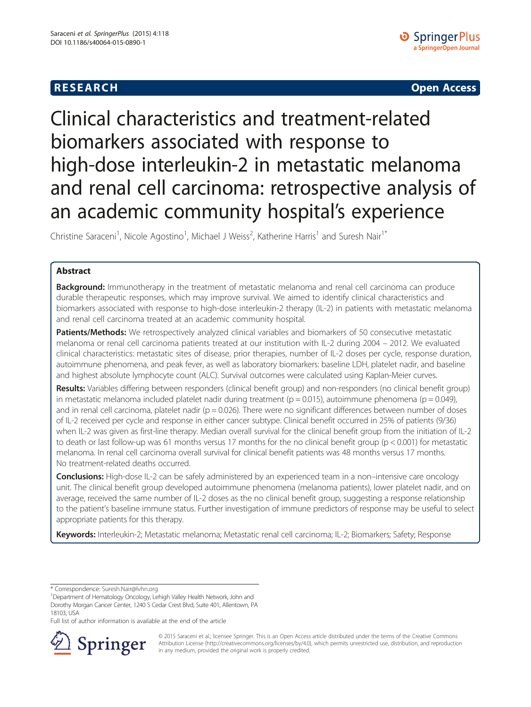

# Clinical characteristics and treatment-related biomarkers associated with response to high-dose interleukin-2 in metastatic melanoma and renal cell carcinoma: retrospective analysis of an academic community hospital's experience

Christine Saraceni<sup>1</sup>, Nicole Agostino<sup>1</sup>, Michael J Weiss<sup>2</sup>, Katherine Harris<sup>1</sup> and Suresh Nair<sup>1\*</sup>

# Abstract

**Background:** Immunotherapy in the treatment of metastatic melanoma and renal cell carcinoma can produce durable therapeutic responses, which may improve survival. We aimed to identify clinical characteristics and biomarkers associated with response to high-dose interleukin-2 therapy (IL-2) in patients with metastatic melanoma and renal cell carcinoma treated at an academic community hospital.

Patients/Methods: We retrospectively analyzed clinical variables and biomarkers of 50 consecutive metastatic melanoma or renal cell carcinoma patients treated at our institution with IL-2 during 2004 – 2012. We evaluated clinical characteristics: metastatic sites of disease, prior therapies, number of IL-2 doses per cycle, response duration, autoimmune phenomena, and peak fever, as well as laboratory biomarkers: baseline LDH, platelet nadir, and baseline and highest absolute lymphocyte count (ALC). Survival outcomes were calculated using Kaplan-Meier curves.

Results: Variables differing between responders (clinical benefit group) and non-responders (no clinical benefit group) in metastatic melanoma included platelet nadir during treatment ( $p = 0.015$ ), autoimmune phenomena ( $p = 0.049$ ), and in renal cell carcinoma, platelet nadir ( $p = 0.026$ ). There were no significant differences between number of doses of IL-2 received per cycle and response in either cancer subtype. Clinical benefit occurred in 25% of patients (9/36) when IL-2 was given as first-line therapy. Median overall survival for the clinical benefit group from the initiation of IL-2 to death or last follow-up was 61 months versus 17 months for the no clinical benefit group ( $p < 0.001$ ) for metastatic melanoma. In renal cell carcinoma overall survival for clinical benefit patients was 48 months versus 17 months. No treatment-related deaths occurred.

Conclusions: High-dose IL-2 can be safely administered by an experienced team in a non–intensive care oncology unit. The clinical benefit group developed autoimmune phenomena (melanoma patients), lower platelet nadir, and on average, received the same number of IL-2 doses as the no clinical benefit group, suggesting a response relationship to the patient's baseline immune status. Further investigation of immune predictors of response may be useful to select appropriate patients for this therapy.

Keywords: Interleukin-2; Metastatic melanoma; Metastatic renal cell carcinoma; IL-2; Biomarkers; Safety; Response

\* Correspondence: [Suresh.Nair@lvhn.org](mailto:Suresh.Nair@lvhn.org) <sup>1</sup>

Department of Hematology Oncology, Lehigh Valley Health Network, John and Dorothy Morgan Cancer Center, 1240 S Cedar Crest Blvd, Suite 401, Allentown, PA 18103, USA

Full list of author information is available at the end of the article



© 2015 Saraceni et al.; licensee Springer. This is an Open Access article distributed under the terms of the Creative Commons Attribution License [\(http://creativecommons.org/licenses/by/4.0\)](http://creativecommons.org/licenses/by/4.0), which permits unrestricted use, distribution, and reproduction in any medium, provided the original work is properly credited.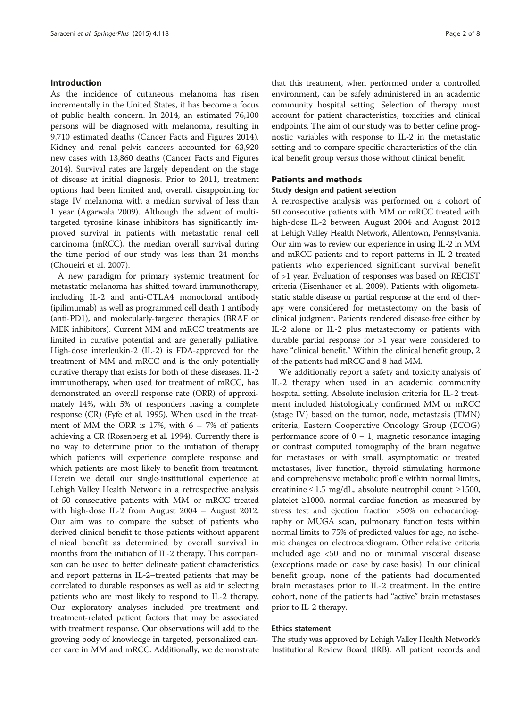#### Introduction

As the incidence of cutaneous melanoma has risen incrementally in the United States, it has become a focus of public health concern. In 2014, an estimated 76,100 persons will be diagnosed with melanoma, resulting in 9,710 estimated deaths (Cancer Facts and Figures [2014](#page-7-0)). Kidney and renal pelvis cancers accounted for 63,920 new cases with 13,860 deaths (Cancer Facts and Figures [2014](#page-7-0)). Survival rates are largely dependent on the stage of disease at initial diagnosis. Prior to 2011, treatment options had been limited and, overall, disappointing for stage IV melanoma with a median survival of less than 1 year (Agarwala [2009](#page-7-0)). Although the advent of multitargeted tyrosine kinase inhibitors has significantly improved survival in patients with metastatic renal cell carcinoma (mRCC), the median overall survival during the time period of our study was less than 24 months (Choueiri et al. [2007\)](#page-7-0).

A new paradigm for primary systemic treatment for metastatic melanoma has shifted toward immunotherapy, including IL-2 and anti-CTLA4 monoclonal antibody (ipilimumab) as well as programmed cell death 1 antibody (anti-PD1), and molecularly-targeted therapies (BRAF or MEK inhibitors). Current MM and mRCC treatments are limited in curative potential and are generally palliative. High-dose interleukin-2 (IL-2) is FDA-approved for the treatment of MM and mRCC and is the only potentially curative therapy that exists for both of these diseases. IL-2 immunotherapy, when used for treatment of mRCC, has demonstrated an overall response rate (ORR) of approximately 14%, with 5% of responders having a complete response (CR) (Fyfe et al. [1995\)](#page-7-0). When used in the treatment of MM the ORR is  $17\%$ , with  $6 - 7\%$  of patients achieving a CR (Rosenberg et al. [1994\)](#page-7-0). Currently there is no way to determine prior to the initiation of therapy which patients will experience complete response and which patients are most likely to benefit from treatment. Herein we detail our single-institutional experience at Lehigh Valley Health Network in a retrospective analysis of 50 consecutive patients with MM or mRCC treated with high-dose IL-2 from August 2004 – August 2012. Our aim was to compare the subset of patients who derived clinical benefit to those patients without apparent clinical benefit as determined by overall survival in months from the initiation of IL-2 therapy. This comparison can be used to better delineate patient characteristics and report patterns in IL-2–treated patients that may be correlated to durable responses as well as aid in selecting patients who are most likely to respond to IL-2 therapy. Our exploratory analyses included pre-treatment and treatment-related patient factors that may be associated with treatment response. Our observations will add to the growing body of knowledge in targeted, personalized cancer care in MM and mRCC. Additionally, we demonstrate

that this treatment, when performed under a controlled environment, can be safely administered in an academic community hospital setting. Selection of therapy must account for patient characteristics, toxicities and clinical endpoints. The aim of our study was to better define prognostic variables with response to IL-2 in the metastatic setting and to compare specific characteristics of the clinical benefit group versus those without clinical benefit.

# Patients and methods

#### Study design and patient selection

A retrospective analysis was performed on a cohort of 50 consecutive patients with MM or mRCC treated with high-dose IL-2 between August 2004 and August 2012 at Lehigh Valley Health Network, Allentown, Pennsylvania. Our aim was to review our experience in using IL-2 in MM and mRCC patients and to report patterns in IL-2 treated patients who experienced significant survival benefit of >1 year. Evaluation of responses was based on RECIST criteria (Eisenhauer et al. [2009](#page-7-0)). Patients with oligometastatic stable disease or partial response at the end of therapy were considered for metastectomy on the basis of clinical judgment. Patients rendered disease-free either by IL-2 alone or IL-2 plus metastectomy or patients with durable partial response for >1 year were considered to have "clinical benefit." Within the clinical benefit group, 2 of the patients had mRCC and 8 had MM.

We additionally report a safety and toxicity analysis of IL-2 therapy when used in an academic community hospital setting. Absolute inclusion criteria for IL-2 treatment included histologically confirmed MM or mRCC (stage IV) based on the tumor, node, metastasis (TMN) criteria, Eastern Cooperative Oncology Group (ECOG) performance score of  $0 - 1$ , magnetic resonance imaging or contrast computed tomography of the brain negative for metastases or with small, asymptomatic or treated metastases, liver function, thyroid stimulating hormone and comprehensive metabolic profile within normal limits, creatinine ≤ 1.5 mg/dL, absolute neutrophil count ≥1500, platelet ≥1000, normal cardiac function as measured by stress test and ejection fraction >50% on echocardiography or MUGA scan, pulmonary function tests within normal limits to 75% of predicted values for age, no ischemic changes on electrocardiogram. Other relative criteria included age <50 and no or minimal visceral disease (exceptions made on case by case basis). In our clinical benefit group, none of the patients had documented brain metastases prior to IL-2 treatment. In the entire cohort, none of the patients had "active" brain metastases prior to IL-2 therapy.

#### Ethics statement

The study was approved by Lehigh Valley Health Network's Institutional Review Board (IRB). All patient records and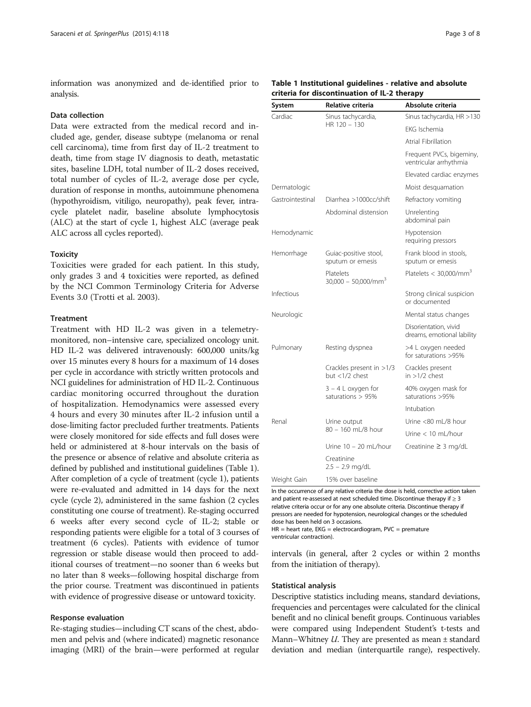information was anonymized and de-identified prior to analysis.

### Data collection

Data were extracted from the medical record and included age, gender, disease subtype (melanoma or renal cell carcinoma), time from first day of IL-2 treatment to death, time from stage IV diagnosis to death, metastatic sites, baseline LDH, total number of IL-2 doses received, total number of cycles of IL-2, average dose per cycle, duration of response in months, autoimmune phenomena (hypothyroidism, vitiligo, neuropathy), peak fever, intracycle platelet nadir, baseline absolute lymphocytosis (ALC) at the start of cycle 1, highest ALC (average peak ALC across all cycles reported).

### **Toxicity**

Toxicities were graded for each patient. In this study, only grades 3 and 4 toxicities were reported, as defined by the NCI Common Terminology Criteria for Adverse Events 3.0 (Trotti et al. [2003\)](#page-7-0).

#### Treatment

Treatment with HD IL-2 was given in a telemetrymonitored, non–intensive care, specialized oncology unit. HD IL-2 was delivered intravenously: 600,000 units/kg over 15 minutes every 8 hours for a maximum of 14 doses per cycle in accordance with strictly written protocols and NCI guidelines for administration of HD IL-2. Continuous cardiac monitoring occurred throughout the duration of hospitalization. Hemodynamics were assessed every 4 hours and every 30 minutes after IL-2 infusion until a dose-limiting factor precluded further treatments. Patients were closely monitored for side effects and full doses were held or administered at 8-hour intervals on the basis of the presence or absence of relative and absolute criteria as defined by published and institutional guidelines (Table 1). After completion of a cycle of treatment (cycle 1), patients were re-evaluated and admitted in 14 days for the next cycle (cycle 2), administered in the same fashion (2 cycles constituting one course of treatment). Re-staging occurred 6 weeks after every second cycle of IL-2; stable or responding patients were eligible for a total of 3 courses of treatment (6 cycles). Patients with evidence of tumor regression or stable disease would then proceed to additional courses of treatment—no sooner than 6 weeks but no later than 8 weeks—following hospital discharge from the prior course. Treatment was discontinued in patients with evidence of progressive disease or untoward toxicity.

#### Response evaluation

Re-staging studies—including CT scans of the chest, abdomen and pelvis and (where indicated) magnetic resonance imaging (MRI) of the brain—were performed at regular

## Table 1 Institutional guidelines - relative and absolute criteria for discontinuation of IL-2 therapy

| System           | Relative criteria                            | Absolute criteria                                   |
|------------------|----------------------------------------------|-----------------------------------------------------|
| Cardiac          | Sinus tachycardia,                           | Sinus tachycardia, HR >130                          |
|                  | HR 120 - 130                                 | FKG Ischemia                                        |
|                  |                                              | Atrial Fibrillation                                 |
|                  |                                              | Frequent PVCs, bigeminy,<br>ventricular arrhythmia  |
|                  |                                              | Elevated cardiac enzymes                            |
| Dermatologic     |                                              | Moist desquamation                                  |
| Gastrointestinal | Diarrhea >1000cc/shift                       | Refractory vomiting                                 |
|                  | Abdominal distension                         | Unrelenting<br>abdominal pain                       |
| Hemodynamic      |                                              | Hypotension<br>requiring pressors                   |
| Hemorrhage       | Guiac-positive stool,<br>sputum or emesis    | Frank blood in stools,<br>sputum or emesis          |
|                  | Platelets<br>$30,000 - 50,000/mm^3$          | Platelets < 30,000/mm <sup>3</sup>                  |
| Infectious       |                                              | Strong clinical suspicion<br>or documented          |
| Neurologic       |                                              | Mental status changes                               |
|                  |                                              | Disorientation, vivid<br>dreams, emotional lability |
| Pulmonary        | Resting dyspnea                              | >4 L oxygen needed<br>for saturations >95%          |
|                  | Crackles present in >1/3<br>but $<1/2$ chest | Crackles present<br>in $>1/2$ chest                 |
|                  | $3 - 4$ L oxygen for<br>saturations $> 95%$  | 40% oxygen mask for<br>saturations >95%             |
|                  |                                              | Intubation                                          |
| Renal            | Urine output                                 | Urine <80 mL/8 hour                                 |
|                  | 80 - 160 mL/8 hour                           | Urine $< 10$ ml /hour                               |
|                  | Urine 10 - 20 mL/hour                        | Creatinine $\geq$ 3 mg/dL                           |
|                  | Creatinine<br>$2.5 - 2.9$ mg/dL              |                                                     |
| Weight Gain      | 15% over baseline                            |                                                     |

In the occurrence of any relative criteria the dose is held, corrective action taken and patient re-assessed at next scheduled time. Discontinue therapy if  $\geq 3$ relative criteria occur or for any one absolute criteria. Discontinue therapy if pressors are needed for hypotension, neurological changes or the scheduled dose has been held on 3 occasions.

HR = heart rate, EKG = electrocardiogram, PVC = premature ventricular contraction).

intervals (in general, after 2 cycles or within 2 months from the initiation of therapy).

#### Statistical analysis

Descriptive statistics including means, standard deviations, frequencies and percentages were calculated for the clinical benefit and no clinical benefit groups. Continuous variables were compared using Independent Student's t-tests and Mann–Whitney  $U$ . They are presented as mean  $\pm$  standard deviation and median (interquartile range), respectively.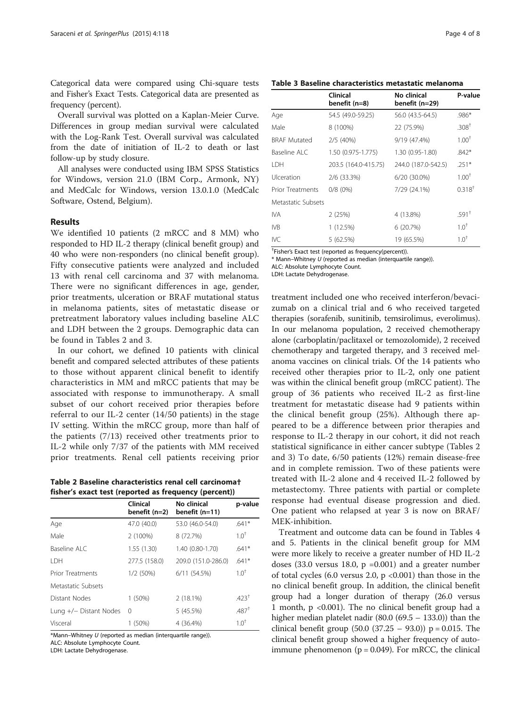Categorical data were compared using Chi-square tests and Fisher's Exact Tests. Categorical data are presented as frequency (percent).

Overall survival was plotted on a Kaplan-Meier Curve. Differences in group median survival were calculated with the Log-Rank Test. Overall survival was calculated from the date of initiation of IL-2 to death or last follow-up by study closure.

All analyses were conducted using IBM SPSS Statistics for Windows, version 21.0 (IBM Corp., Armonk, NY) and MedCalc for Windows, version 13.0.1.0 (MedCalc Software, Ostend, Belgium).

#### Results

We identified 10 patients (2 mRCC and 8 MM) who responded to HD IL-2 therapy (clinical benefit group) and 40 who were non-responders (no clinical benefit group). Fifty consecutive patients were analyzed and included 13 with renal cell carcinoma and 37 with melanoma. There were no significant differences in age, gender, prior treatments, ulceration or BRAF mutational status in melanoma patients, sites of metastatic disease or pretreatment laboratory values including baseline ALC and LDH between the 2 groups. Demographic data can be found in Tables 2 and 3.

In our cohort, we defined 10 patients with clinical benefit and compared selected attributes of these patients to those without apparent clinical benefit to identify characteristics in MM and mRCC patients that may be associated with response to immunotherapy. A small subset of our cohort received prior therapies before referral to our IL-2 center (14/50 patients) in the stage IV setting. Within the mRCC group, more than half of the patients (7/13) received other treatments prior to IL-2 while only 7/37 of the patients with MM received prior treatments. Renal cell patients receiving prior

Table 2 Baseline characteristics renal cell carcinoma† fisher's exact test (reported as frequency (percent))

|                         | Clinical<br>benefit $(n=2)$ | No clinical<br>benefit (n=11) | p-value           |
|-------------------------|-----------------------------|-------------------------------|-------------------|
| Age                     | 47.0 (40.0)                 | 53.0 (46.0-54.0)              | $.641*$           |
| Male                    | 2 (100%)                    | 8 (72.7%)                     | 1.0 <sup>†</sup>  |
| Baseline ALC            | 1.55(1.30)                  | 1.40 (0.80-1.70)              | $.641*$           |
| I DH                    | 277.5 (158.0)               | 209.0 (151.0-286.0)           | $.641*$           |
| <b>Prior Treatments</b> | 1/2(50%)                    | 6/11(54.5%)                   | $1.0^{+}$         |
| Metastatic Subsets      |                             |                               |                   |
| Distant Nodes           | 1(50%)                      | $2(18.1\%)$                   | .423 <sup>†</sup> |
| Lung +/- Distant Nodes  | $\Omega$                    | 5 (45.5%)                     | .487 <sup>†</sup> |
| Visceral                | 1 (50%)                     | 4 (36.4%)                     | $1.0^{+}$         |

\*Mann–Whitney U (reported as median (interquartile range)). ALC: Absolute Lymphocyte Count.

LDH: Lactate Dehydrogenase.

| Table 3 Baseline characteristics metastatic melanoma |  |
|------------------------------------------------------|--|
|------------------------------------------------------|--|

|                         | Clinical<br>benefit (n=8) | No clinical<br>benefit (n=29) | P-value           |
|-------------------------|---------------------------|-------------------------------|-------------------|
| Age                     | 54.5 (49.0-59.25)         | 56.0 (43.5-64.5)              | .986*             |
| Male                    | 8 (100%)                  | 22 (75.9%)                    | .308 <sup>†</sup> |
| <b>BRAF Mutated</b>     | 2/5(40%)                  | 9/19 (47.4%)                  | $1.00^{+}$        |
| Baseline ALC            | 1.50 (0.975-1.775)        | 1.30 (0.95-1.80)              | $.842*$           |
| I DH                    | 203.5 (164.0-415.75)      | 244.0 (187.0-542.5)           | $.251*$           |
| Ulceration              | 2/6 (33.3%)               | 6/20 (30.0%)                  | $1.00^{+}$        |
| <b>Prior Treatments</b> | $0/8(0\%)$                | 7/29 (24.1%)                  | $0.318^{+}$       |
| Metastatic Subsets      |                           |                               |                   |
| IVA                     | 2(25%)                    | 4 (13.8%)                     | .591 <sup>†</sup> |
| IVB                     | 1 (12.5%)                 | 6(20.7%)                      | $1.0^{\dagger}$   |
| <b>IVC</b>              | 5 (62.5%)                 | 19 (65.5%)                    | $1.0^{+}$         |

† Fisher's Exact test (reported as frequency(percent)).

\* Mann–Whitney U (reported as median (interquartile range)).

ALC: Absolute Lymphocyte Count.

LDH: Lactate Dehydrogenase.

treatment included one who received interferon/bevacizumab on a clinical trial and 6 who received targeted therapies (sorafenib, sunitinib, temsirolimus, everolimus). In our melanoma population, 2 received chemotherapy alone (carboplatin/paclitaxel or temozolomide), 2 received chemotherapy and targeted therapy, and 3 received melanoma vaccines on clinical trials. Of the 14 patients who received other therapies prior to IL-2, only one patient was within the clinical benefit group (mRCC patient). The group of 36 patients who received IL-2 as first-line treatment for metastatic disease had 9 patients within the clinical benefit group (25%). Although there appeared to be a difference between prior therapies and response to IL-2 therapy in our cohort, it did not reach statistical significance in either cancer subtype (Tables 2 and 3) To date, 6/50 patients (12%) remain disease-free and in complete remission. Two of these patients were treated with IL-2 alone and 4 received IL-2 followed by metastectomy. Three patients with partial or complete response had eventual disease progression and died. One patient who relapsed at year 3 is now on BRAF/ MEK-inhibition.

Treatment and outcome data can be found in Tables [4](#page-4-0) and [5.](#page-4-0) Patients in the clinical benefit group for MM were more likely to receive a greater number of HD IL-2 doses  $(33.0 \text{ versus } 18.0, \text{ p } = 0.001)$  and a greater number of total cycles (6.0 versus 2.0,  $p$  <0.001) than those in the no clinical benefit group. In addition, the clinical benefit group had a longer duration of therapy (26.0 versus 1 month, p <0.001). The no clinical benefit group had a higher median platelet nadir (80.0 (69.5 – 133.0)) than the clinical benefit group  $(50.0 (37.25 - 93.0))$  p = 0.015. The clinical benefit group showed a higher frequency of autoimmune phenomenon ( $p = 0.049$ ). For mRCC, the clinical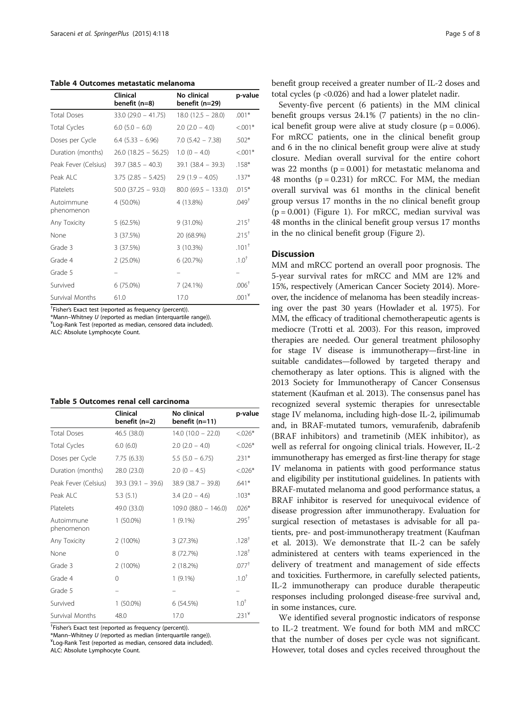<span id="page-4-0"></span>Table 4 Outcomes metastatic melanoma

|                          | <b>Clinical</b><br>benefit (n=8) | No clinical<br>benefit (n=29) | p-value           |
|--------------------------|----------------------------------|-------------------------------|-------------------|
| <b>Total Doses</b>       | $33.0$ (29.0 - 41.75)            | $18.0$ (12.5 - 28.0)          | $.001*$           |
| <b>Total Cycles</b>      | $6.0$ $(5.0 - 6.0)$              | $2.0$ ( $2.0 - 4.0$ )         | $< 0.001*$        |
| Doses per Cycle          | $6.4$ (5.33 - 6.96)              | $7.0$ (5.42 - 7.38)           | $.502*$           |
| Duration (months)        | $26.0$ (18.25 - 56.25)           | $1.0$ (0 $-$ 4.0)             | $< 0.01*$         |
| Peak Fever (Celsius)     | $39.7$ (38.5 - 40.3)             | $39.1 (38.4 - 39.3)$          | $.158*$           |
| Peak ALC                 | $3.75$ (2.85 - 5.425)            | $2.9(1.9 - 4.05)$             | $.137*$           |
| Platelets                | $50.0$ (37.25 - 93.0)            | $80.0$ (69.5 - 133.0)         | $.015*$           |
| Autoimmune<br>phenomenon | 4 (50.0%)                        | 4 (13.8%)                     | .049 <sup>†</sup> |
| Any Toxicity             | 5(62.5%)                         | $9(31.0\%)$                   | $.215^{+}$        |
| None                     | 3 (37.5%)                        | 20 (68.9%)                    | $.215^+$          |
| Grade 3                  | 3 (37.5%)                        | 3(10.3%)                      | $.101+$           |
| Grade 4                  | $2(25.0\%)$                      | 6(20.7%)                      | $.1.0^{+}$        |
| Grade 5                  |                                  |                               |                   |
| Survived                 | 6 (75.0%)                        | 7(24.1%)                      | $.006+$           |
| <b>Survival Months</b>   | 61.0                             | 17.0                          | $.001*$           |

† Fisher's Exact test (reported as frequency (percent)).

 $*$ Mann–Whitney U (reported as median (interquartile range)).

Log-Rank Test (reported as median, censored data included).

ALC: Absolute Lymphocyte Count.

| Table 5 Outcomes renal cell carcinoma |  |  |  |  |
|---------------------------------------|--|--|--|--|
|---------------------------------------|--|--|--|--|

|                          | <b>Clinical</b><br>benefit (n=2) | No clinical<br>benefit (n=11) | p-value    |
|--------------------------|----------------------------------|-------------------------------|------------|
| <b>Total Doses</b>       | 46.5(38.0)                       | $14.0(10.0 - 22.0)$           | $< 0.026*$ |
| <b>Total Cycles</b>      | 6.0(6.0)                         | $2.0$ (2.0 – 4.0)             | $< 0.026*$ |
| Doses per Cycle          | 7.75(6.33)                       | $5.5(5.0 - 6.75)$             | $.231*$    |
| Duration (months)        | 28.0 (23.0)                      | $2.0(0 - 4.5)$                | $< 0.026*$ |
| Peak Fever (Celsius)     | $39.3(39.1 - 39.6)$              | $38.9(38.7 - 39.8)$           | $.641*$    |
| Peak ALC                 | 5.3(5.1)                         | $3.4$ (2.0 – 4.6)             | $.103*$    |
| Platelets                | 49.0 (33.0)                      | $109.0$ (88.0 - 146.0)        | $.026*$    |
| Autoimmune<br>phenomenon | $1(50.0\%)$                      | $1(9.1\%)$                    | $.295^+$   |
| Any Toxicity             | 2 (100%)                         | 3(27.3%)                      | $.128^{+}$ |
| None                     | 0                                | 8 (72.7%)                     | $.128^{+}$ |
| Grade 3                  | 2 (100%)                         | 2(18.2%)                      | $.077^{+}$ |
| Grade 4                  | $\Omega$                         | $1(9.1\%)$                    | $.1.0^{+}$ |
| Grade 5                  |                                  |                               | -          |
| Survived                 | $1(50.0\%)$                      | 6(54.5%)                      | $1.0^{+}$  |
| <b>Survival Months</b>   | 48.0                             | 17.0                          | $.231*$    |

† Fisher's Exact test (reported as frequency (percent)).

Log-Rank Test (reported as median, censored data included).

ALC: Absolute Lymphocyte Count.

benefit group received a greater number of IL-2 doses and total cycles (p <0.026) and had a lower platelet nadir.

Seventy-five percent (6 patients) in the MM clinical benefit groups versus 24.1% (7 patients) in the no clinical benefit group were alive at study closure ( $p = 0.006$ ). For mRCC patients, one in the clinical benefit group and 6 in the no clinical benefit group were alive at study closure. Median overall survival for the entire cohort was 22 months ( $p = 0.001$ ) for metastatic melanoma and 48 months ( $p = 0.231$ ) for mRCC. For MM, the median overall survival was 61 months in the clinical benefit group versus 17 months in the no clinical benefit group  $(p = 0.001)$  (Figure [1](#page-5-0)). For mRCC, median survival was 48 months in the clinical benefit group versus 17 months in the no clinical benefit group (Figure [2](#page-5-0)).

# **Discussion**

MM and mRCC portend an overall poor prognosis. The 5-year survival rates for mRCC and MM are 12% and 15%, respectively (American Cancer Society [2014\)](#page-7-0). Moreover, the incidence of melanoma has been steadily increasing over the past 30 years (Howlader et al. [1975\)](#page-7-0). For MM, the efficacy of traditional chemotherapeutic agents is mediocre (Trotti et al. [2003\)](#page-7-0). For this reason, improved therapies are needed. Our general treatment philosophy for stage IV disease is immunotherapy—first-line in suitable candidates—followed by targeted therapy and chemotherapy as later options. This is aligned with the 2013 Society for Immunotherapy of Cancer Consensus statement (Kaufman et al. [2013](#page-7-0)). The consensus panel has recognized several systemic therapies for unresectable stage IV melanoma, including high-dose IL-2, ipilimumab and, in BRAF-mutated tumors, vemurafenib, dabrafenib (BRAF inhibitors) and trametinib (MEK inhibitor), as well as referral for ongoing clinical trials. However, IL-2 immunotherapy has emerged as first-line therapy for stage IV melanoma in patients with good performance status and eligibility per institutional guidelines. In patients with BRAF-mutated melanoma and good performance status, a BRAF inhibitor is reserved for unequivocal evidence of disease progression after immunotherapy. Evaluation for surgical resection of metastases is advisable for all patients, pre- and post-immunotherapy treatment (Kaufman et al. [2013\)](#page-7-0). We demonstrate that IL-2 can be safely administered at centers with teams experienced in the delivery of treatment and management of side effects and toxicities. Furthermore, in carefully selected patients, IL-2 immunotherapy can produce durable therapeutic responses including prolonged disease-free survival and, in some instances, cure.

We identified several prognostic indicators of response to IL-2 treatment. We found for both MM and mRCC that the number of doses per cycle was not significant. However, total doses and cycles received throughout the

 $*$ Mann–Whitney U (reported as median (interquartile range)).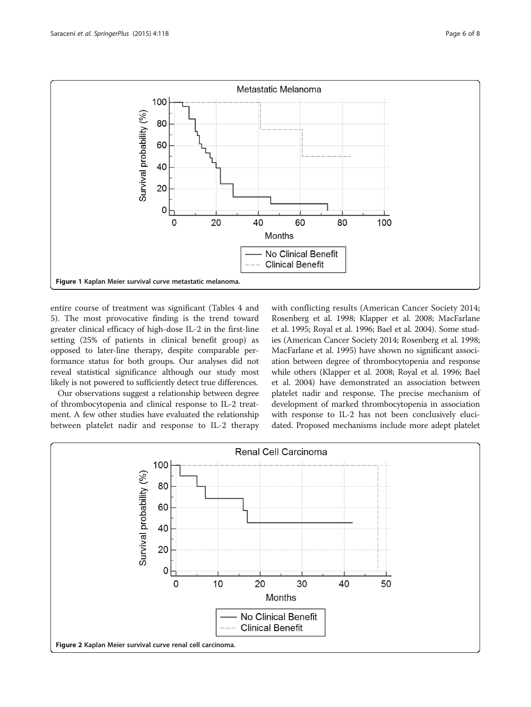<span id="page-5-0"></span>

entire course of treatment was significant (Tables [4](#page-4-0) and [5\)](#page-4-0). The most provocative finding is the trend toward greater clinical efficacy of high-dose IL-2 in the first-line setting (25% of patients in clinical benefit group) as opposed to later-line therapy, despite comparable performance status for both groups. Our analyses did not reveal statistical significance although our study most likely is not powered to sufficiently detect true differences.

Our observations suggest a relationship between degree of thrombocytopenia and clinical response to IL-2 treatment. A few other studies have evaluated the relationship between platelet nadir and response to IL-2 therapy with conflicting results (American Cancer Society [2014](#page-7-0); Rosenberg et al. [1998;](#page-7-0) Klapper et al. [2008;](#page-7-0) MacFarlane et al. [1995](#page-7-0); Royal et al. [1996;](#page-7-0) Bael et al. [2004](#page-7-0)). Some studies (American Cancer Society [2014](#page-7-0); Rosenberg et al. [1998](#page-7-0); MacFarlane et al. [1995\)](#page-7-0) have shown no significant association between degree of thrombocytopenia and response while others (Klapper et al. [2008](#page-7-0); Royal et al. [1996;](#page-7-0) Bael et al. [2004](#page-7-0)) have demonstrated an association between platelet nadir and response. The precise mechanism of development of marked thrombocytopenia in association with response to IL-2 has not been conclusively elucidated. Proposed mechanisms include more adept platelet

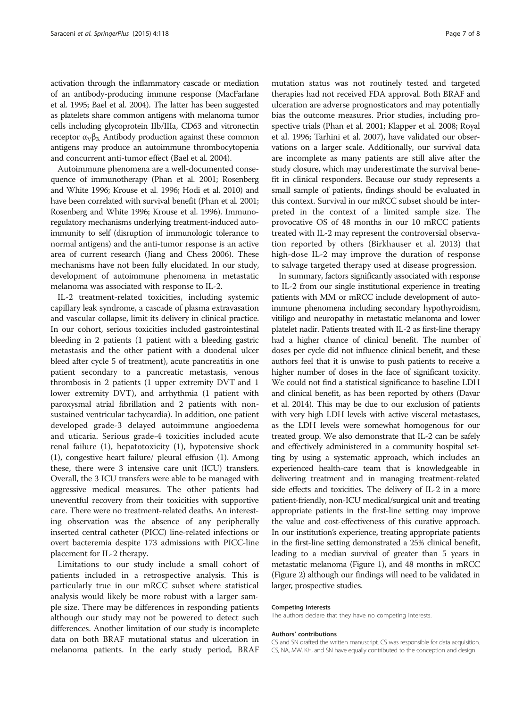activation through the inflammatory cascade or mediation of an antibody-producing immune response (MacFarlane et al. [1995;](#page-7-0) Bael et al. [2004](#page-7-0)). The latter has been suggested as platelets share common antigens with melanoma tumor cells including glycoprotein IIb/IIIa, CD63 and vitronectin receptor  $α<sub>ν</sub>β<sub>3</sub>$ . Antibody production against these common antigens may produce an autoimmune thrombocytopenia and concurrent anti-tumor effect (Bael et al. [2004\)](#page-7-0).

Autoimmune phenomena are a well-documented consequence of immunotherapy (Phan et al. [2001](#page-7-0); Rosenberg and White [1996](#page-7-0); Krouse et al. [1996](#page-7-0); Hodi et al. [2010](#page-7-0)) and have been correlated with survival benefit (Phan et al. [2001](#page-7-0); Rosenberg and White [1996;](#page-7-0) Krouse et al. [1996](#page-7-0)). Immunoregulatory mechanisms underlying treatment-induced autoimmunity to self (disruption of immunologic tolerance to normal antigens) and the anti-tumor response is an active area of current research (Jiang and Chess [2006\)](#page-7-0). These mechanisms have not been fully elucidated. In our study, development of autoimmune phenomena in metastatic melanoma was associated with response to IL-2.

IL-2 treatment-related toxicities, including systemic capillary leak syndrome, a cascade of plasma extravasation and vascular collapse, limit its delivery in clinical practice. In our cohort, serious toxicities included gastrointestinal bleeding in 2 patients (1 patient with a bleeding gastric metastasis and the other patient with a duodenal ulcer bleed after cycle 5 of treatment), acute pancreatitis in one patient secondary to a pancreatic metastasis, venous thrombosis in 2 patients (1 upper extremity DVT and 1 lower extremity DVT), and arrhythmia (1 patient with paroxysmal atrial fibrillation and 2 patients with nonsustained ventricular tachycardia). In addition, one patient developed grade-3 delayed autoimmune angioedema and uticaria. Serious grade-4 toxicities included acute renal failure (1), hepatotoxicity (1), hypotensive shock (1), congestive heart failure/ pleural effusion (1). Among these, there were 3 intensive care unit (ICU) transfers. Overall, the 3 ICU transfers were able to be managed with aggressive medical measures. The other patients had uneventful recovery from their toxicities with supportive care. There were no treatment-related deaths. An interesting observation was the absence of any peripherally inserted central catheter (PICC) line-related infections or overt bacteremia despite 173 admissions with PICC-line placement for IL-2 therapy.

Limitations to our study include a small cohort of patients included in a retrospective analysis. This is particularly true in our mRCC subset where statistical analysis would likely be more robust with a larger sample size. There may be differences in responding patients although our study may not be powered to detect such differences. Another limitation of our study is incomplete data on both BRAF mutational status and ulceration in melanoma patients. In the early study period, BRAF

mutation status was not routinely tested and targeted therapies had not received FDA approval. Both BRAF and ulceration are adverse prognosticators and may potentially bias the outcome measures. Prior studies, including prospective trials (Phan et al. [2001](#page-7-0); Klapper et al. [2008](#page-7-0); Royal et al. [1996](#page-7-0); Tarhini et al. [2007](#page-7-0)), have validated our observations on a larger scale. Additionally, our survival data are incomplete as many patients are still alive after the study closure, which may underestimate the survival benefit in clinical responders. Because our study represents a small sample of patients, findings should be evaluated in this context. Survival in our mRCC subset should be interpreted in the context of a limited sample size. The provocative OS of 48 months in our 10 mRCC patients treated with IL-2 may represent the controversial observation reported by others (Birkhauser et al. [2013\)](#page-7-0) that high-dose IL-2 may improve the duration of response to salvage targeted therapy used at disease progression.

In summary, factors significantly associated with response to IL-2 from our single institutional experience in treating patients with MM or mRCC include development of autoimmune phenomena including secondary hypothyroidism, vitiligo and neuropathy in metastatic melanoma and lower platelet nadir. Patients treated with IL-2 as first-line therapy had a higher chance of clinical benefit. The number of doses per cycle did not influence clinical benefit, and these authors feel that it is unwise to push patients to receive a higher number of doses in the face of significant toxicity. We could not find a statistical significance to baseline LDH and clinical benefit, as has been reported by others (Davar et al. [2014\)](#page-7-0). This may be due to our exclusion of patients with very high LDH levels with active visceral metastases, as the LDH levels were somewhat homogenous for our treated group. We also demonstrate that IL-2 can be safely and effectively administered in a community hospital setting by using a systematic approach, which includes an experienced health-care team that is knowledgeable in delivering treatment and in managing treatment-related side effects and toxicities. The delivery of IL-2 in a more patient-friendly, non-ICU medical/surgical unit and treating appropriate patients in the first-line setting may improve the value and cost-effectiveness of this curative approach. In our institution's experience, treating appropriate patients in the first-line setting demonstrated a 25% clinical benefit, leading to a median survival of greater than 5 years in metastatic melanoma (Figure [1](#page-5-0)), and 48 months in mRCC (Figure [2\)](#page-5-0) although our findings will need to be validated in larger, prospective studies.

#### Competing interests

The authors declare that they have no competing interests.

#### Authors' contributions

CS and SN drafted the written manuscript. CS was responsible for data acquisition. CS, NA, MW, KH, and SN have equally contributed to the conception and design